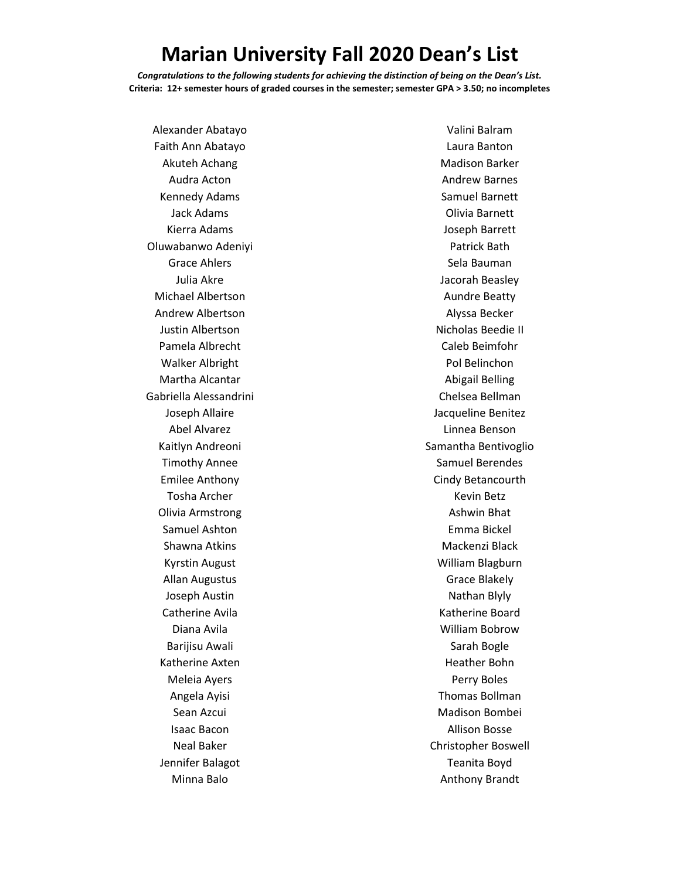## **Marian University Fall 2020 Dean's List**

*Congratulations to the following students for achieving the distinction of being on the Dean's List.* **Criteria: 12+ semester hours of graded courses in the semester; semester GPA > 3.50; no incompletes**

Alexander Abatayo Faith Ann Abatayo Akuteh Achang Audra Acton Kennedy Adams Jack Adams Kierra Adams Oluwabanwo Adeniyi Grace Ahlers Julia Akre Michael Albertson Andrew Albertson Justin Albertson Pamela Albrecht Walker Albright Martha Alcantar Gabriella Alessandrini Joseph Allaire Abel Alvarez Kaitlyn Andreoni Timothy Annee Emilee Anthony Tosha Archer Olivia Armstrong Samuel Ashton Shawna Atkins Kyrstin August Allan Augustus Joseph Austin Catherine Avila Diana Avila Barijisu Awali Katherine Axten Meleia Ayers Angela Ayisi Sean Azcui Isaac Bacon Neal Baker Jennifer Balagot Minna Balo

Valini Balram Laura Banton Madison Barker Andrew Barnes Samuel Barnett Olivia Barnett Joseph Barrett Patrick Bath Sela Bauman Jacorah Beasley Aundre Beatty Alyssa Becker Nicholas Beedie II Caleb Beimfohr Pol Belinchon Abigail Belling Chelsea Bellman Jacqueline Benitez Linnea Benson Samantha Bentivoglio Samuel Berendes Cindy Betancourth Kevin Betz Ashwin Bhat Emma Bickel Mackenzi Black William Blagburn Grace Blakely Nathan Blyly Katherine Board William Bobrow Sarah Bogle Heather Bohn Perry Boles Thomas Bollman Madison Bombei Allison Bosse Christopher Boswell Teanita Boyd Anthony Brandt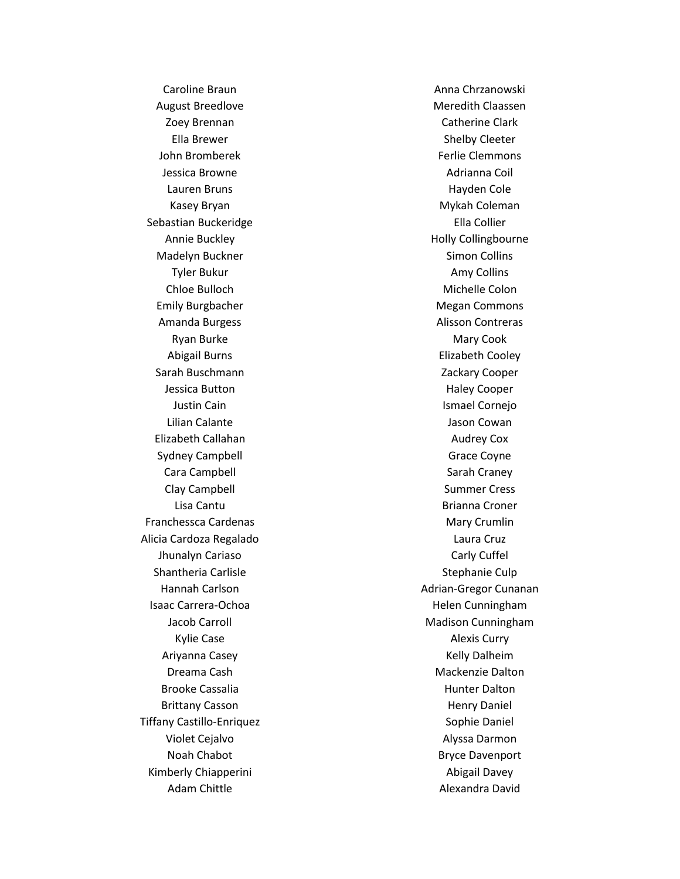Caroline Braun August Breedlove Zoey Brennan Ella Brewer John Bromberek Jessica Browne Lauren Bruns Kasey Bryan Sebastian Buckeridge Annie Buckley Madelyn Buckner Tyler Bukur Chloe Bulloch Emily Burgbacher Amanda Burgess Ryan Burke Abigail Burns Sarah Buschmann Jessica Button Justin Cain Lilian Calante Elizabeth Callahan Sydney Campbell Cara Campbell Clay Campbell Lisa Cantu Franchessca Cardenas Alicia Cardoza Regalado Jhunalyn Cariaso Shantheria Carlisle Hannah Carlson Isaac Carrera -Ochoa Jacob Carroll Kylie Case Ariyanna Casey Dreama Cash Brooke Cassalia Brittany Casson Tiffany Castillo -Enriquez Violet Cejalvo Noah Chabot Kimberly Chiapperini Adam Chittle

Anna Chrzanowski Meredith Claassen Catherine Clark Shelby Cleeter Ferlie Clemmons Adrianna Coil Hayden Cole Mykah Coleman Ella Collier Holly Collingbourne Simon Collins Amy Collins Michelle Colon Megan Commons Alisson Contreras Mary Cook Elizabeth Cooley Zackary Cooper Haley Cooper Ismael Cornejo Jason Cowan Audrey Cox Grace Coyne Sarah Craney Summer Cress Brianna Croner Mary Crumlin Laura Cruz Carly Cuffel Stephanie Culp Adrian -Gregor Cunanan Helen Cunningham Madison Cunningham Alexis Curry Kelly Dalheim Mackenzie Dalton Hunter Dalton Henry Daniel Sophie Daniel Alyssa Darmon Bryce Davenport Abigail Davey Alexandra David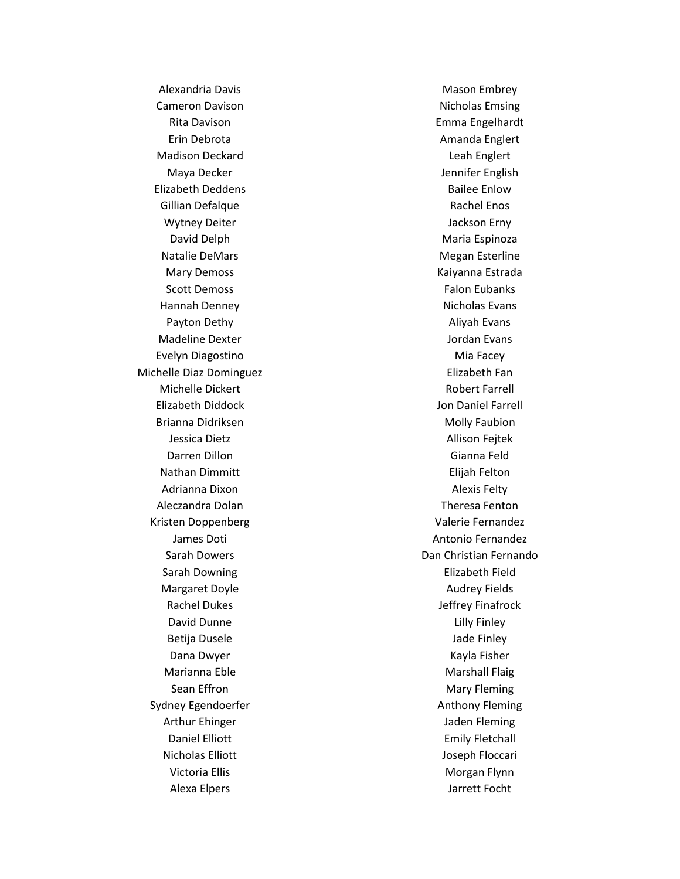Alexandria Davis Cameron Davison Rita Davison Erin Debrota Madison Deckard Maya Decker Elizabeth Deddens Gillian Defalque Wytney Deiter David Delph Natalie DeMars Mary Demoss Scott Demoss Hannah Denney Payton Dethy Madeline Dexter Evelyn Diagostino Michelle Diaz Dominguez Michelle Dickert Elizabeth Diddock Brianna Didriksen Jessica Dietz Darren Dillon Nathan Dimmitt Adrianna Dixon Aleczandra Dolan Kristen Doppenberg James Doti Sarah Dowers Sarah Downing Margaret Doyle Rachel Dukes David Dunne Betija Dusele Dana Dwyer Marianna Eble Sean Effron Sydney Egendoerfer Arthur Ehinger Daniel Elliott Nicholas Elliott Victoria Ellis Alexa Elpers

Mason Embrey Nicholas Emsing Emma Engelhardt Amanda Englert Leah Englert Jennifer English Bailee Enlow Rachel Enos Jackson Erny Maria Espinoza Megan Esterline Kaiyanna Estrada Falon Eubanks Nicholas Evans Aliyah Evans Jordan Evans Mia Facey Elizabeth Fan Robert Farrell Jon Daniel Farrell Molly Faubion Allison Fejtek Gianna Feld Elijah Felton Alexis Felty Theresa Fenton Valerie Fernandez Antonio Fernandez Dan Christian Fernando Elizabeth Field Audrey Fields Jeffrey Finafrock Lilly Finley Jade Finley Kayla Fisher Marshall Flaig Mary Fleming Anthony Fleming Jaden Fleming Emily Fletchall Joseph Floccari Morgan Flynn Jarrett Focht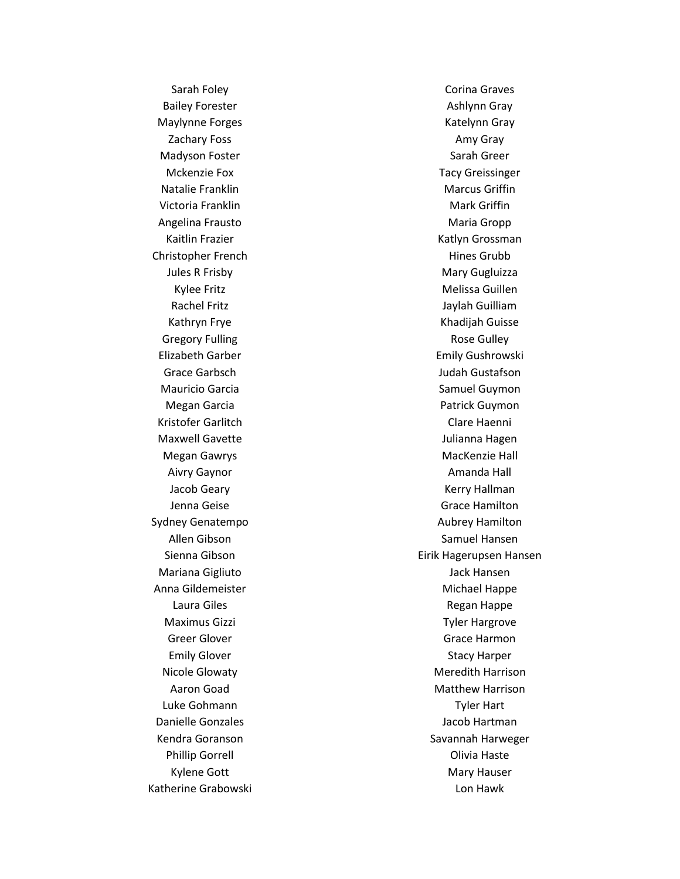Sarah Foley Bailey Forester Maylynne Forges Zachary Foss Madyson Foster Mckenzie Fox Natalie Franklin Victoria Franklin Angelina Frausto Kaitlin Frazier Christopher French Jules R Frisby Kylee Fritz Rachel Fritz Kathryn Frye Gregory Fulling Elizabeth Garber Grace Garbsch Mauricio Garcia Megan Garcia Kristofer Garlitch Maxwell Gavette Megan Gawrys Aivry Gaynor Jacob Geary Jenna Geise Sydney Genatempo Allen Gibson Sienna Gibson Mariana Gigliuto Anna Gildemeister Laura Giles Maximus Gizzi Greer Glover Emily Glover Nicole Glowaty Aaron Goad Luke Gohmann Danielle Gonzales Kendra Goranson Phillip Gorrell Kylene Gott Katherine Grabowski

Corina Graves Ashlynn Gray Katelynn Gray Amy Gray Sarah Greer Tacy Greissinger Marcus Griffin Mark Griffin Maria Gropp Katlyn Grossman Hines Grubb Mary Gugluizza Melissa Guillen Jaylah Guilliam Khadijah Guisse Rose Gulley Emily Gushrowski Judah Gustafson Samuel Guymon Patrick Guymon Clare Haenni Julianna Hagen MacKenzie Hall Amanda Hall Kerry Hallman Grace Hamilton Aubrey Hamilton Samuel Hansen Eirik Hagerupsen Hansen Jack Hansen Michael Happe Regan Happe Tyler Hargrove Grace Harmon Stacy Harper Meredith Harrison Matthew Harrison Tyler Hart Jacob Hartman Savannah Harweger Olivia Haste Mary Hauser Lon Hawk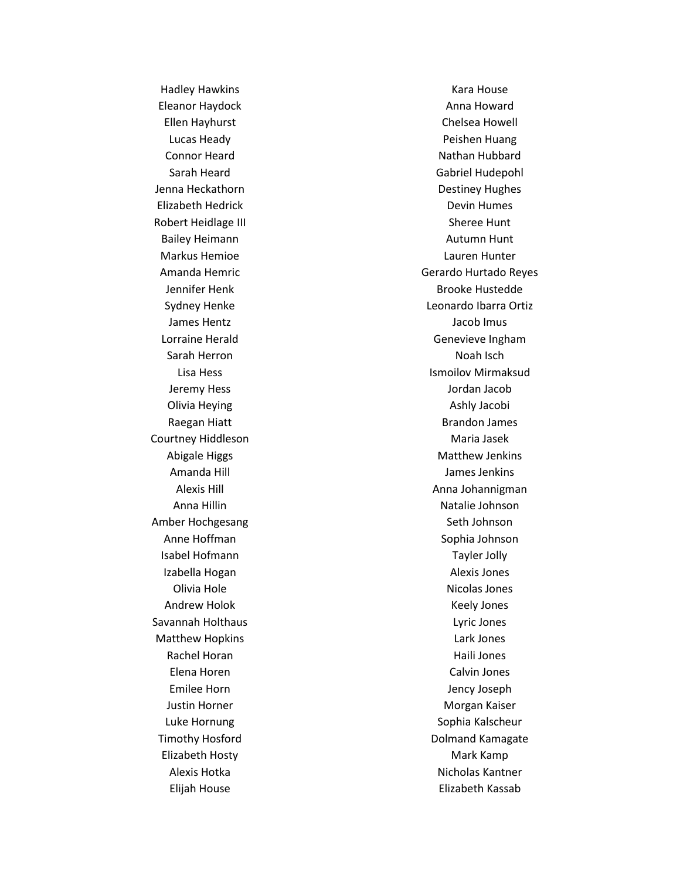Hadley Hawkins Eleanor Haydock Ellen Hayhurst Lucas Heady Connor Heard Sarah Heard Jenna Heckathorn Elizabeth Hedrick Robert Heidlage III Bailey Heimann Markus Hemioe Amanda Hemric Jennifer Henk Sydney Henke James Hentz Lorraine Herald Sarah Herron Lisa Hess Jeremy Hess Olivia Heying Raegan Hiatt Courtney Hiddleson Abigale Higgs Amanda Hill Alexis Hill Anna Hillin Amber Hochgesang Anne Hoffman Isabel Hofmann Izabella Hogan Olivia Hole Andrew Holok Savannah Holthaus Matthew Hopkins Rachel Horan Elena Horen Emilee Horn Justin Horner Luke Hornung Timothy Hosford Elizabeth Hosty Alexis Hotka Elijah House

Kara House Anna Howard Chelsea Howell Peishen Huang Nathan Hubbard Gabriel Hudepohl Destiney Hughes Devin Humes Sheree Hunt Autumn Hunt Lauren Hunter Gerardo Hurtado Reyes Brooke Hustedde Leonardo Ibarra Ortiz Jacob Imus Genevieve Ingham Noah Isch Ismoilov Mirmaksud Jordan Jacob Ashly Jacobi Brandon James Maria Jasek Matthew Jenkins James Jenkins Anna Johannigman Natalie Johnson Seth Johnson Sophia Johnson Tayler Jolly Alexis Jones Nicolas Jones Keely Jones Lyric Jones Lark Jones Haili Jones Calvin Jones Jency Joseph Morgan Kaiser Sophia Kalscheur Dolmand Kamagate Mark Kamp Nicholas Kantner Elizabeth Kassab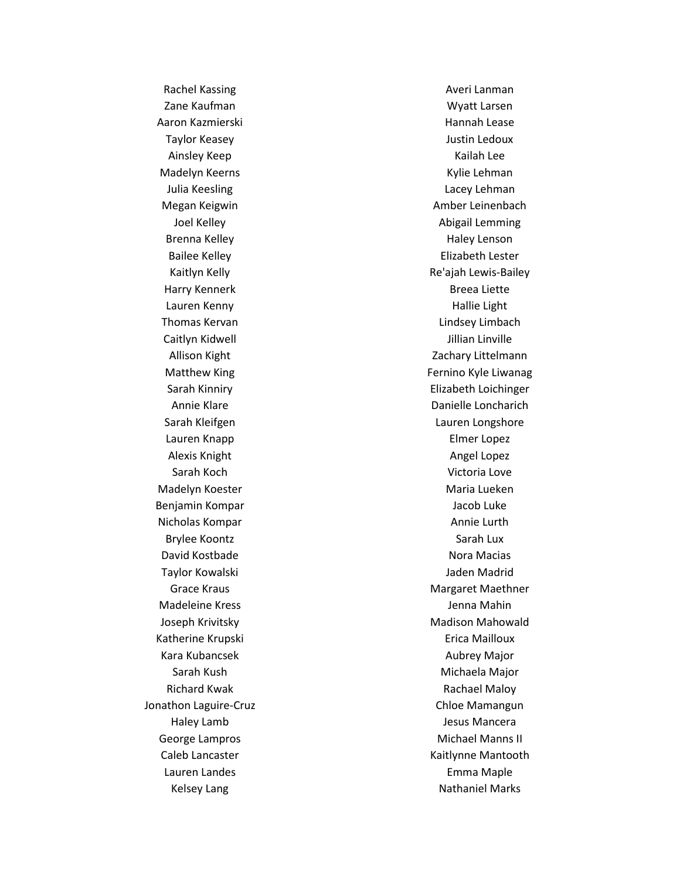Rachel Kassing Zane Kaufman Aaron Kazmierski Taylor Keasey Ainsley Keep Madelyn Keerns Julia Keesling Megan Keigwin Joel Kelley Brenna Kelley Bailee Kelley Kaitlyn Kelly Harry Kennerk Lauren Kenny Thomas Kervan Caitlyn Kidwell Allison Kight Matthew King Sarah Kinniry Annie Klare Sarah Kleifgen Lauren Knapp Alexis Knight Sarah Koch Madelyn Koester Benjamin Kompar Nicholas Kompar Brylee Koontz David Kostbade Taylor Kowalski Grace Kraus Madeleine Kress Joseph Krivitsky Katherine Krupski Kara Kubancsek Sarah Kush Richard Kwak Jonathon Laguire -Cruz Haley Lamb George Lampros Caleb Lancaster Lauren Landes Kelsey Lang

Averi Lanman Wyatt Larsen Hannah Lease Justin Ledoux Kailah Lee Kylie Lehman Lacey Lehman Amber Leinenbach Abigail Lemming Haley Lenson Elizabeth Lester Re'ajah Lewis -Bailey Breea Liette Hallie Light Lindsey Limbach Jillian Linville Zachary Littelmann Fernino Kyle Liwanag Elizabeth Loichinger Danielle Loncharich Lauren Longshore Elmer Lopez Angel Lopez Victoria Love Maria Lueken Jacob Luke Annie Lurth Sarah Lux Nora Macias Jaden Madrid Margaret Maethner Jenna Mahin Madison Mahowald Erica Mailloux Aubrey Major Michaela Major Rachael Maloy Chloe Mamangun Jesus Mancera Michael Manns II Kaitlynne Mantooth Emma Maple Nathaniel Marks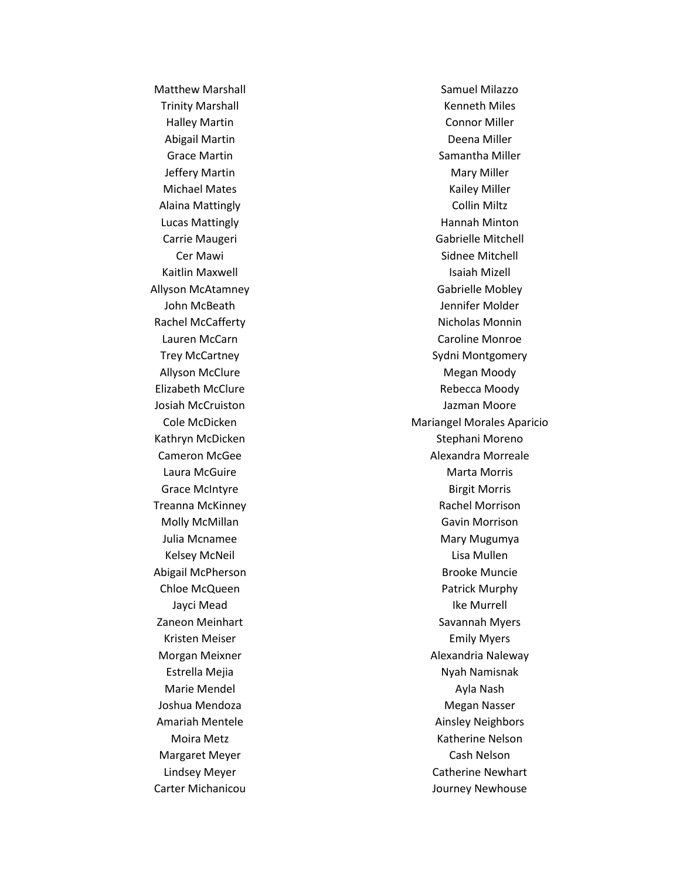Matthew Marshall Trinity Marshall Halley Martin Abigail Martin Grace Martin Jeffery Martin Michael Mates Alaina Mattingly Lucas Mattingly Carrie Maugeri Cer Mawi Kaitlin Maxwell Allyson McAtamney John McBeath Rachel McCafferty Lauren McCarn Trey McCartney Allyson McClure Elizabeth McClure Josiah McCruiston Cole McDicken Kathryn McDicken Cameron McGee Laura McGuire Grace McIntyre Treanna McKinney Molly McMillan Julia Mcnamee Kelsey McNeil Abigail McPherson Chloe McQueen Jayci Mead Zaneon Meinhart Kristen Meiser Morgan Meixner Estrella Mejia Marie Mendel Joshua Mendoza Amariah Mentele Moira Metz Margaret Meyer Lindsey Meyer Carter Michanicou

Samuel Milazzo Kenneth Miles Connor Miller Deena Miller Samantha Miller Mary Miller Kailey Miller Collin Miltz Hannah Minton Gabrielle Mitchell Sidnee Mitchell Isaiah Mizell Gabrielle Mobley Jennifer Molder Nicholas Monnin Caroline Monroe Sydni Montgomery Megan Moody Rebecca Moody Jazman Moore Mariangel Morales Aparicio Stephani Moreno Alexandra Morreale Marta Morris Birgit Morris Rachel Morrison Gavin Morrison Mary Mugumya Lisa Mullen Brooke Muncie Patrick Murphy Ike Murrell Savannah Myers Emily Myers Alexandria Naleway Nyah Namisnak Ayla Nash Megan Nasser Ainsley Neighbors Katherine Nelson Cash Nelson Catherine Newhart Journey Newhouse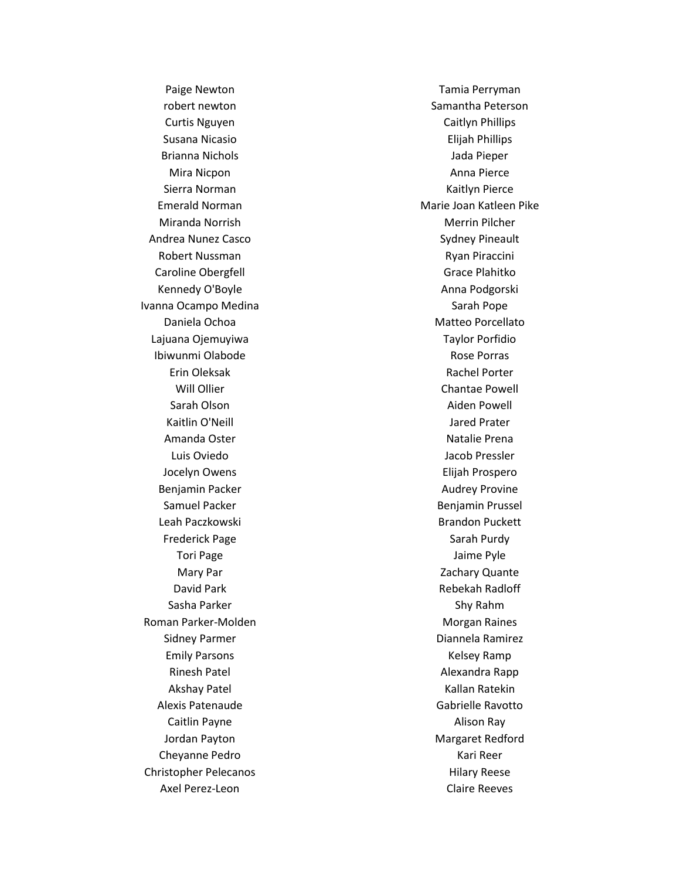Paige Newton robert newton Curtis Nguyen Susana Nicasio Brianna Nichols Mira Nicpon Sierra Norman Emerald Norman Miranda Norrish Andrea Nunez Casco Robert Nussman Caroline Obergfell Kennedy O'Boyle Ivanna Ocampo Medina Daniela Ochoa Lajuana Ojemuyiwa Ibiwunmi Olabode Erin Oleksak Will Ollier Sarah Olson Kaitlin O'Neill Amanda Oster Luis Oviedo Jocelyn Owens Benjamin Packer Samuel Packer Leah Paczkowski Frederick Page Tori Page Mary Par David Park Sasha Parker Roman Parker -Molden Sidney Parmer Emily Parsons Rinesh Patel Akshay Patel Alexis Patenaude Caitlin Payne Jordan Payton Cheyanne Pedro Christopher Pelecanos Axel Perez -Leon

Tamia Perryman Samantha Peterson Caitlyn Phillips Elijah Phillips Jada Pieper Anna Pierce Kaitlyn Pierce Marie Joan Katleen Pike Merrin Pilcher Sydney Pineault Ryan Piraccini Grace Plahitko Anna Podgorski Sarah Pope Matteo Porcellato Taylor Porfidio Rose Porras Rachel Porter Chantae Powell Aiden Powell Jared Prater Natalie Prena Jacob Pressler Elijah Prospero Audrey Provine Benjamin Prussel Brandon Puckett Sarah Purdy Jaime Pyle Zachary Quante Rebekah Radloff Shy Rahm Morgan Raines Diannela Ramirez Kelsey Ramp Alexandra Rapp Kallan Ratekin Gabrielle Ravotto Alison Ray Margaret Redford Kari Reer Hilary Reese Claire Reeves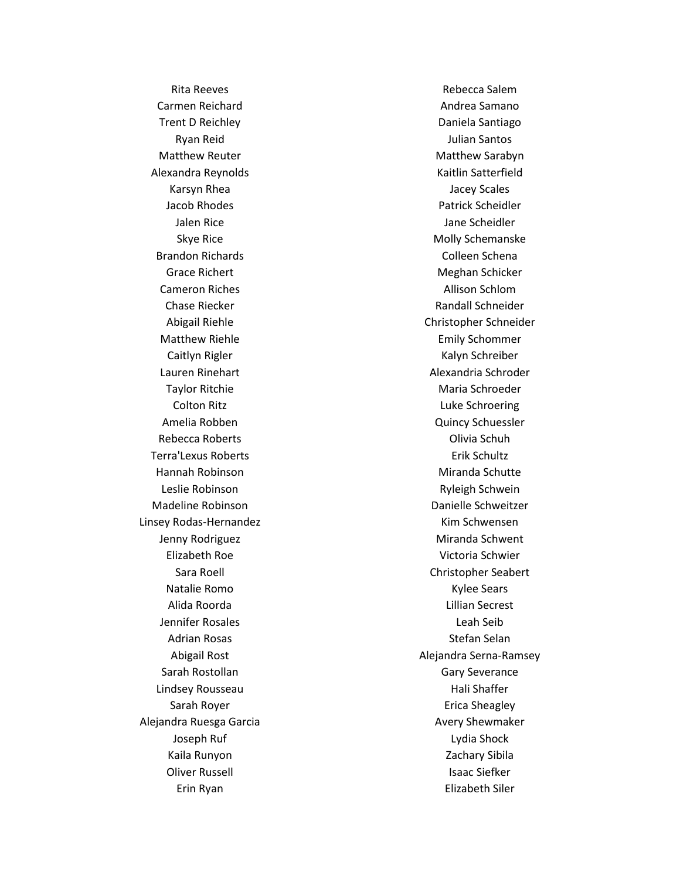Rita Reeves Carmen Reichard Trent D Reichley Ryan Reid Matthew Reuter Alexandra Reynolds Karsyn Rhea Jacob Rhodes Jalen Rice Skye Rice Brandon Richards Grace Richert Cameron Riches Chase Riecker Abigail Riehle Matthew Riehle Caitlyn Rigler Lauren Rinehart Taylor Ritchie Colton Ritz Amelia Robben Rebecca Roberts Terra'Lexus Roberts Hannah Robinson Leslie Robinson Madeline Robinson Linsey Rodas -Hernandez Jenny Rodriguez Elizabeth Roe Sara Roell Natalie Romo Alida Roorda Jennifer Rosales Adrian Rosas Abigail Rost Sarah Rostollan Lindsey Rousseau Sarah Royer Alejandra Ruesga Garcia Joseph Ruf Kaila Runyon Oliver Russell Erin Ryan

Rebecca Salem Andrea Samano Daniela Santiago Julian Santos Matthew Sarabyn Kaitlin Satterfield Jacey Scales Patrick Scheidler Jane Scheidler Molly Schemanske Colleen Schena Meghan Schicker Allison Schlom Randall Schneider Christopher Schneider Emily Schommer Kalyn Schreiber Alexandria Schroder Maria Schroeder Luke Schroering Quincy Schuessler Olivia Schuh Erik Schultz Miranda Schutte Ryleigh Schwein Danielle Schweitzer Kim Schwensen Miranda Schwent Victoria Schwier Christopher Seabert Kylee Sears Lillian Secrest Leah Seib Stefan Selan Alejandra Serna -Ramsey Gary Severance Hali Shaffer Erica Sheagley Avery Shewmaker Lydia Shock Zachary Sibila Isaac Siefker Elizabeth Siler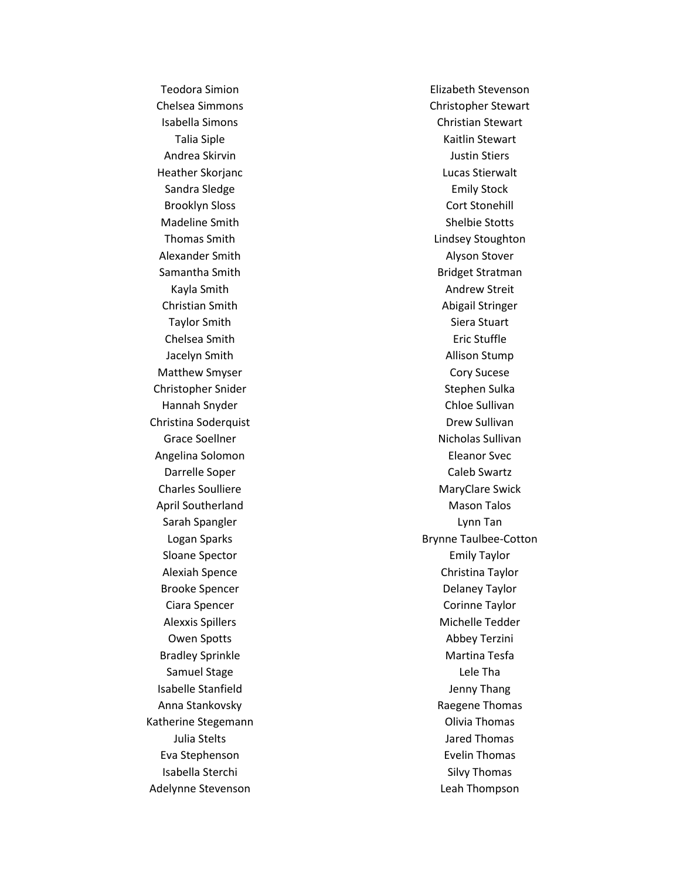Teodora Simion Chelsea Simmons Isabella Simons Talia Siple Andrea Skirvin Heather Skorjanc Sandra Sledge Brooklyn Sloss Madeline Smith Thomas Smith Alexander Smith Samantha Smith Kayla Smith Christian Smith Taylor Smith Chelsea Smith Jacelyn Smith Matthew Smyser Christopher Snider Hannah Snyder Christina Soderquist Grace Soellner Angelina Solomon Darrelle Soper Charles Soulliere April Southerland Sarah Spangler Logan Sparks Sloane Spector Alexiah Spence Brooke Spencer Ciara Spencer Alexxis Spillers Owen Spotts Bradley Sprinkle Samuel Stage Isabelle Stanfield Anna Stankovsky Katherine Stegemann Julia Stelts Eva Stephenson Isabella Sterchi Adelynne Stevenson

Elizabeth Stevenson Christopher Stewart Christian Stewart Kaitlin Stewart Justin Stiers Lucas Stierwalt Emily Stock Cort Stonehill Shelbie Stotts Lindsey Stoughton Alyson Stover Bridget Stratman Andrew Streit Abigail Stringer Siera Stuart Eric Stuffle Allison Stump Cory Sucese Stephen Sulka Chloe Sullivan Drew Sullivan Nicholas Sullivan Eleanor Svec Caleb Swartz MaryClare Swick Mason Talos Lynn Tan Brynne Taulbee -Cotton Emily Taylor Christina Taylor Delaney Taylor Corinne Taylor Michelle Tedder Abbey Terzini Martina Tesfa Lele Tha Jenny Thang Raegene Thomas Olivia Thomas Jared Thomas Evelin Thomas Silvy Thomas Leah Thompson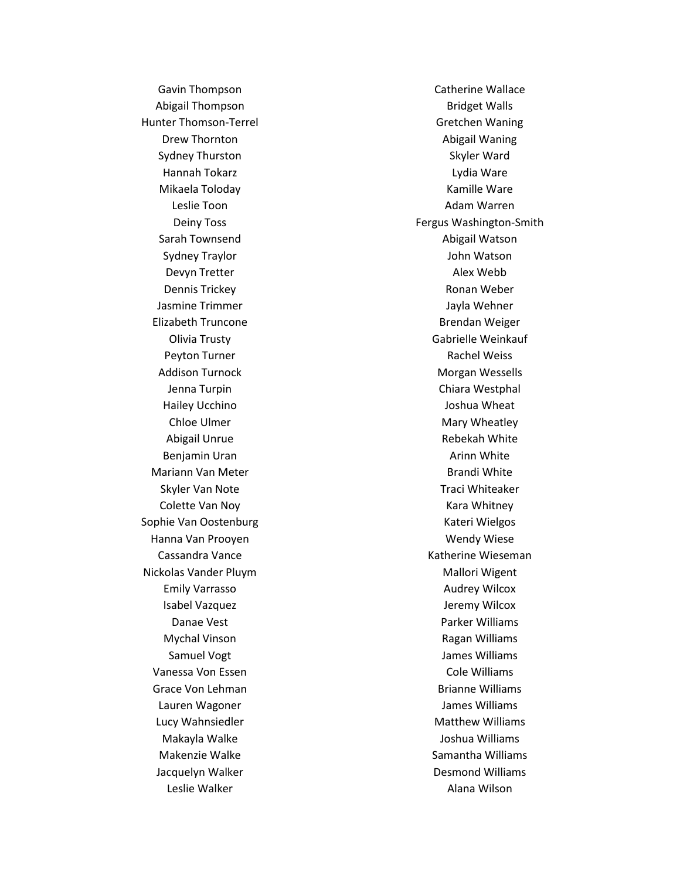Gavin Thompson Abigail Thompson Hunter Thomson -Terrel Drew Thornton Sydney Thurston Hannah Tokarz Mikaela Toloday Leslie Toon Deiny Toss Sarah Townsend Sydney Traylor Devyn Tretter Dennis Trickey Jasmine Trimmer Elizabeth Truncone Olivia Trusty Peyton Turner Addison Turnock Jenna Turpin Hailey Ucchino Chloe Ulmer Abigail Unrue Benjamin Uran Mariann Van Meter Skyler Van Note Colette Van Noy Sophie Van Oostenburg Hanna Van Prooyen Cassandra Vance Nickolas Vander Pluym Emily Varrasso Isabel Vazquez Danae Vest Mychal Vinson Samuel Vogt Vanessa Von Essen Grace Von Lehman Lauren Wagoner Lucy Wahnsiedler Makayla Walke Makenzie Walke Jacquelyn Walker Leslie Walker

Catherine Wallace Bridget Walls Gretchen Waning Abigail Waning Skyler Ward Lydia Ware Kamille Ware Adam Warren Fergus Washington -Smith Abigail Watson John Watson Alex Webb Ronan Weber Jayla Wehner Brendan Weiger Gabrielle Weinkauf Rachel Weiss Morgan Wessells Chiara Westphal Joshua Wheat Mary Wheatley Rebekah White Arinn White Brandi White Traci Whiteaker Kara Whitney Kateri Wielgos Wendy Wiese Katherine Wieseman Mallori Wigent Audrey Wilcox Jeremy Wilcox Parker Williams Ragan Williams James Williams Cole Williams Brianne Williams James Williams Matthew Williams Joshua Williams Samantha Williams Desmond Williams Alana Wilson